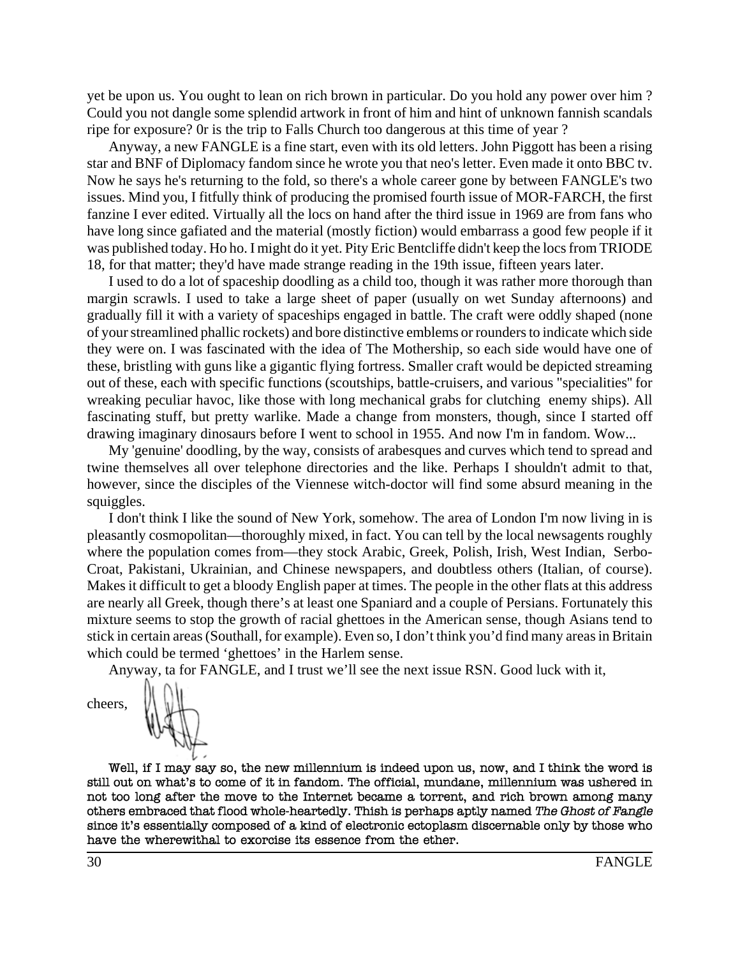yet be upon us. You ought to lean on rich brown in particular. Do you hold any power over him ? Could you not dangle some splendid artwork in front of him and hint of unknown fannish scandals ripe for exposure? 0r is the trip to Falls Church too dangerous at this time of year ?

Anyway, a new FANGLE is a fine start, even with its old letters. John Piggott has been a rising star and BNF of Diplomacy fandom since he wrote you that neo's letter. Even made it onto BBC tv. Now he says he's returning to the fold, so there's a whole career gone by between FANGLE's two issues. Mind you, I fitfully think of producing the promised fourth issue of MOR-FARCH, the first fanzine I ever edited. Virtually all the locs on hand after the third issue in 1969 are from fans who have long since gafiated and the material (mostly fiction) would embarrass a good few people if it was published today. Ho ho. I might do it yet. Pity Eric Bentcliffe didn't keep the locs from TRIODE 18, for that matter; they'd have made strange reading in the 19th issue, fifteen years later.

I used to do a lot of spaceship doodling as a child too, though it was rather more thorough than margin scrawls. I used to take a large sheet of paper (usually on wet Sunday afternoons) and gradually fill it with a variety of spaceships engaged in battle. The craft were oddly shaped (none of your streamlined phallic rockets) and bore distinctive emblems or rounders to indicate which side they were on. I was fascinated with the idea of The Mothership, so each side would have one of these, bristling with guns like a gigantic flying fortress. Smaller craft would be depicted streaming out of these, each with specific functions (scoutships, battle-cruisers, and various "specialities'' for wreaking peculiar havoc, like those with long mechanical grabs for clutching enemy ships). All fascinating stuff, but pretty warlike. Made a change from monsters, though, since I started off drawing imaginary dinosaurs before I went to school in 1955. And now I'm in fandom. Wow...

My 'genuine' doodling, by the way, consists of arabesques and curves which tend to spread and twine themselves all over telephone directories and the like. Perhaps I shouldn't admit to that, however, since the disciples of the Viennese witch-doctor will find some absurd meaning in the squiggles.

I don't think I like the sound of New York, somehow. The area of London I'm now living in is pleasantly cosmopolitan—thoroughly mixed, in fact. You can tell by the local newsagents roughly where the population comes from—they stock Arabic, Greek, Polish, Irish, West Indian, Serbo-Croat, Pakistani, Ukrainian, and Chinese newspapers, and doubtless others (Italian, of course). Makes it difficult to get a bloody English paper at times. The people in the other flats at this address are nearly all Greek, though there's at least one Spaniard and a couple of Persians. Fortunately this mixture seems to stop the growth of racial ghettoes in the American sense, though Asians tend to stick in certain areas (Southall, for example). Even so, I don't think you'd find many areas in Britain which could be termed 'ghettoes' in the Harlem sense.

Anyway, ta for FANGLE, and I trust we'll see the next issue RSN. Good luck with it,

cheers,



Well, if I may say so, the new millennium is indeed upon us, now, and I think the word is still out on what's to come of it in fandom. The official, mundane, millennium was ushered in not too long after the move to the Internet became a torrent, and rich brown among many others embraced that flood whole-heartedly. Thish is perhaps aptly named The Ghost of Fangle since it's essentially composed of a kind of electronic ectoplasm discernable only by those who have the wherewithal to exorcise its essence from the ether.